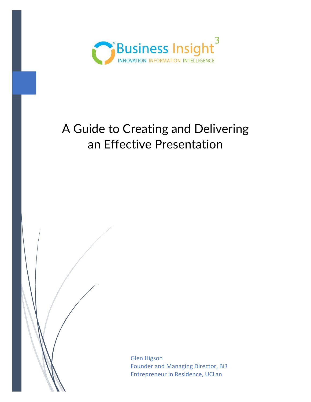

# A Guide to Creating and Delivering an Effective Presentation

Glen Higson Founder and Managing Director, Bi3 Entrepreneur in Residence, UCLan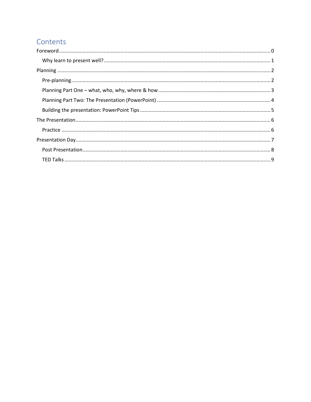# Contents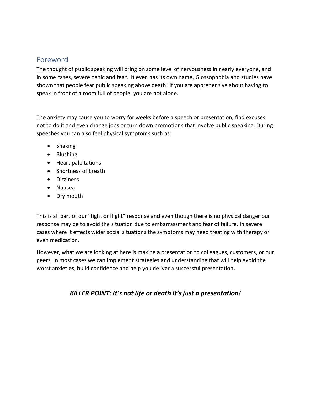# <span id="page-2-0"></span>Foreword

The thought of public speaking will bring on some level of nervousness in nearly everyone, and in some cases, severe panic and fear. It even has its own name, Glossophobia and studies have shown that people fear public speaking above death! If you are apprehensive about having to speak in front of a room full of people, you are not alone.

The anxiety may cause you to worry for weeks before a speech or presentation, find excuses not to do it and even change jobs or turn down promotions that involve public speaking. During speeches you can also feel physical symptoms such as:

- Shaking
- Blushing
- Heart palpitations
- Shortness of breath
- Dizziness
- Nausea
- Dry mouth

This is all part of our "fight or flight" response and even though there is no physical danger our response may be to avoid the situation due to embarrassment and fear of failure. In severe cases where it effects wider social situations the symptoms may need treating with therapy or even medication.

However, what we are looking at here is making a presentation to colleagues, customers, or our peers. In most cases we can implement strategies and understanding that will help avoid the worst anxieties, build confidence and help you deliver a successful presentation.

### *KILLER POINT: It's not life or death it's just a presentation!*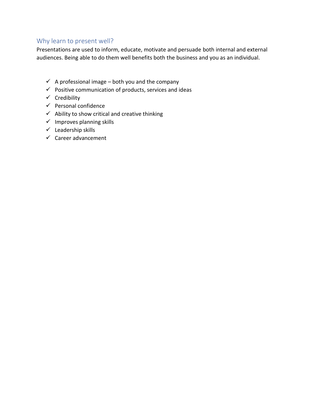### <span id="page-3-0"></span>Why learn to present well?

Presentations are used to inform, educate, motivate and persuade both internal and external audiences. Being able to do them well benefits both the business and you as an individual.

- $\checkmark$  A professional image both you and the company
- $\checkmark$  Positive communication of products, services and ideas
- ✓ Credibility
- $\checkmark$  Personal confidence
- $\checkmark$  Ability to show critical and creative thinking
- $\checkmark$  Improves planning skills
- $\checkmark$  Leadership skills
- $\checkmark$  Career advancement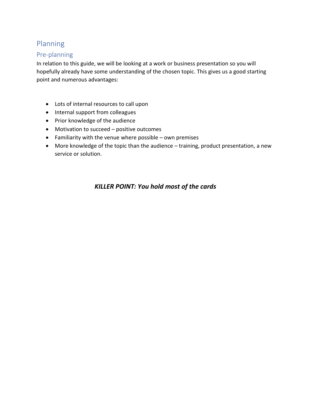# <span id="page-4-0"></span>Planning

### <span id="page-4-1"></span>Pre-planning

In relation to this guide, we will be looking at a work or business presentation so you will hopefully already have some understanding of the chosen topic. This gives us a good starting point and numerous advantages:

- Lots of internal resources to call upon
- Internal support from colleagues
- Prior knowledge of the audience
- Motivation to succeed positive outcomes
- Familiarity with the venue where possible own premises
- More knowledge of the topic than the audience training, product presentation, a new service or solution.

## *KILLER POINT: You hold most of the cards*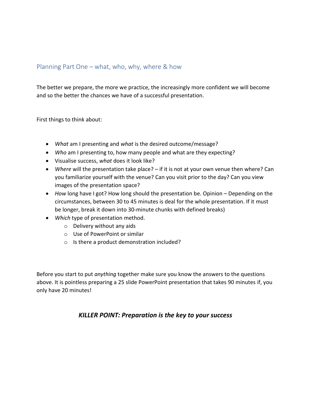### <span id="page-5-0"></span>Planning Part One – what, who, why, where & how

The better we prepare, the more we practice, the increasingly more confident we will become and so the better the chances we have of a successful presentation.

First things to think about:

- *What* am I presenting and *what* is the desired outcome/message?
- *Who* am I presenting to, how many people and what are they expecting?
- Visualise success, *what* does it look like?
- *Where* will the presentation take place? if it is not at your own venue then where? Can you familiarize yourself with the venue? Can you visit prior to the day? Can you view images of the presentation space?
- *How* long have I got? How long should the presentation be. Opinion Depending on the circumstances, between 30 to 45 minutes is deal for the whole presentation. If it must be longer, break it down into 30-minute chunks with defined breaks)
- *Which* type of presentation method.
	- o Delivery without any aids
	- o Use of PowerPoint or similar
	- o Is there a product demonstration included?

Before you start to put *anything* together make sure you know the answers to the questions above. It is pointless preparing a 25 slide PowerPoint presentation that takes 90 minutes if, you only have 20 minutes!

### *KILLER POINT: Preparation is the key to your success*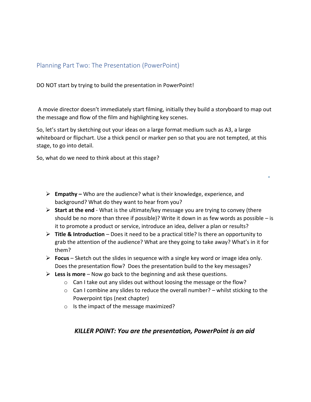### <span id="page-6-0"></span>Planning Part Two: The Presentation (PowerPoint)

DO NOT start by trying to build the presentation in PowerPoint!

A movie director doesn't immediately start filming, initially they build a storyboard to map out the message and flow of the film and highlighting key scenes.

So, let's start by sketching out your ideas on a large format medium such as A3, a large whiteboard or flipchart. Use a thick pencil or marker pen so that you are not tempted, at this stage, to go into detail.

So, what do we need to think about at this stage?

- ➢ **Empathy –** Who are the audience? what is their knowledge, experience, and background? What do they want to hear from you?
- ➢ **Start at the end**  What is the ultimate/key message you are trying to convey (there should be no more than three if possible)? Write it down in as few words as possible  $-$  is it to promote a product or service, introduce an idea, deliver a plan or results?
- ➢ **Title & Introduction** Does it need to be a practical title? Is there an opportunity to grab the attention of the audience? What are they going to take away? What's in it for them?
- ➢ **Focus** Sketch out the slides in sequence with a single key word or image idea only. Does the presentation flow? Does the presentation build to the key messages?
- ➢ **Less is more** Now go back to the beginning and ask these questions.
	- o Can I take out any slides out without loosing the message or the flow?
	- o Can I combine any slides to reduce the overall number? whilst sticking to the Powerpoint tips (next chapter)
	- o Is the impact of the message maximized?

### *KILLER POINT: You are the presentation, PowerPoint is an aid*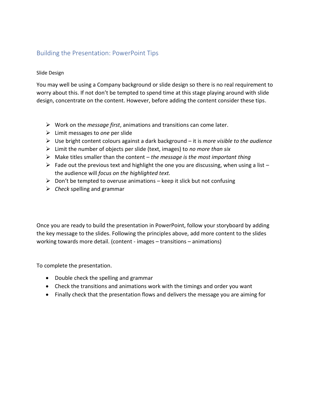### <span id="page-7-0"></span>Building the Presentation: PowerPoint Tips

#### Slide Design

You may well be using a Company background or slide design so there is no real requirement to worry about this. If not don't be tempted to spend time at this stage playing around with slide design, concentrate on the content. However, before adding the content consider these tips.

- ➢ Work on the *message first*, animations and transitions can come later.
- ➢ Limit messages to *one* per slide
- ➢ Use bright content colours against a dark background it is *more visible to the audience*
- ➢ Limit the number of objects per slide (text, images) to *no more than six*
- ➢ Make titles smaller than the content *the message is the most important thing*
- $\triangleright$  Fade out the previous text and highlight the one you are discussing, when using a list the audience will *focus on the highlighted text.*
- $\triangleright$  Don't be tempted to overuse animations keep it slick but not confusing
- ➢ *Check* spelling and grammar

Once you are ready to build the presentation in PowerPoint, follow your storyboard by adding the key message to the slides. Following the principles above, add more content to the slides working towards more detail. (content - images – transitions – animations)

To complete the presentation.

- Double check the spelling and grammar
- Check the transitions and animations work with the timings and order you want
- Finally check that the presentation flows and delivers the message you are aiming for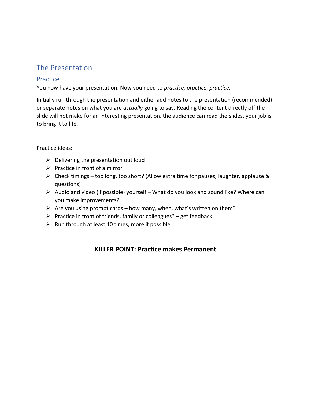# <span id="page-8-0"></span>The Presentation

### <span id="page-8-1"></span>Practice

You now have your presentation. Now you need to *practice, practice, practice.*

Initially run through the presentation and either add notes to the presentation (recommended) or separate notes on what you are *actually* going to say. Reading the content directly off the slide will not make for an interesting presentation, the audience can read the slides, your job is to bring it to life.

#### Practice ideas:

- $\triangleright$  Delivering the presentation out loud
- $\triangleright$  Practice in front of a mirror
- $\triangleright$  Check timings too long, too short? (Allow extra time for pauses, laughter, applause & questions)
- ➢ Audio and video (if possible) yourself What do you look and sound like? Where can you make improvements?
- $\triangleright$  Are you using prompt cards how many, when, what's written on them?
- $\triangleright$  Practice in front of friends, family or colleagues? get feedback
- $\triangleright$  Run through at least 10 times, more if possible

### **KILLER POINT: Practice makes Permanent**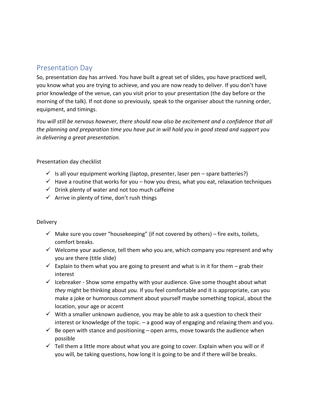# <span id="page-9-0"></span>Presentation Day

So, presentation day has arrived. You have built a great set of slides, you have practiced well, you know what you are trying to achieve, and you are now ready to deliver. If you don't have prior knowledge of the venue, can you visit prior to your presentation (the day before or the morning of the talk). If not done so previously, speak to the organiser about the running order, equipment, and timings.

*You will still be nervous however, there should now also be excitement and a confidence that all the planning and preparation time you have put in will hold you in good stead and support you in delivering a great presentation.*

#### Presentation day checklist

- $\checkmark$  Is all your equipment working (laptop, presenter, laser pen spare batteries?)
- $\checkmark$  Have a routine that works for you how you dress, what you eat, relaxation techniques
- $\checkmark$  Drink plenty of water and not too much caffeine
- $\checkmark$  Arrive in plenty of time, don't rush things

#### **Delivery**

- $\checkmark$  Make sure you cover "housekeeping" (if not covered by others) fire exits, toilets, comfort breaks.
- $\checkmark$  Welcome your audience, tell them who you are, which company you represent and why you are there (title slide)
- $\checkmark$  Explain to them what you are going to present and what is in it for them grab their interest
- $\checkmark$  Icebreaker Show some empathy with your audience. Give some thought about what *they* might be thinking about *you.* If you feel comfortable and it is appropriate, can you make a joke or humorous comment about yourself maybe something topical, about the location, your age or accent
- $\checkmark$  With a smaller unknown audience, you may be able to ask a question to check their interest or knowledge of the topic. – a good way of engaging and relaxing them and you.
- $\checkmark$  Be open with stance and positioning open arms, move towards the audience when possible
- $\checkmark$  Tell them a little more about what you are going to cover. Explain when you will or if you will, be taking questions, how long it is going to be and if there will be breaks.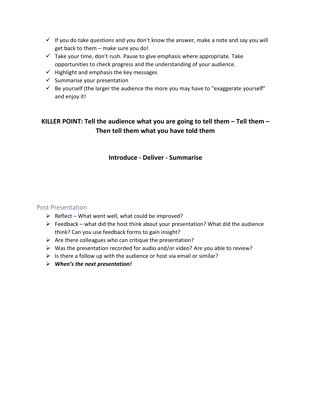- $\checkmark$  If you do take questions and you don't know the answer, make a note and say you will get back to them – make sure you do!
- $\checkmark$  Take your time, don't rush. Pause to give emphasis where appropriate. Take opportunities to check progress and the understanding of your audience.
- $\checkmark$  Highlight and emphasis the key messages
- $\checkmark$  Summarise your presentation
- $\checkmark$  Be yourself (the larger the audience the more you may have to "exaggerate yourself" and enjoy it!

# **KILLER POINT: Tell the audience what you are going to tell them – Tell them – Then tell them what you have told them**

#### **Introduce - Deliver - Summarise**

### <span id="page-10-0"></span>Post Presentation

- $\triangleright$  Reflect What went well, what could be improved?
- $\triangleright$  Feedback what did the host think about your presentation? What did the audience think? Can you use feedback forms to gain insight?
- $\triangleright$  Are there colleagues who can critique the presentation?
- $\triangleright$  Was the presentation recorded for audio and/or video? Are you able to review?
- $\triangleright$  Is there a follow up with the audience or host via email or similar?
- ➢ *When's the next presentation!*